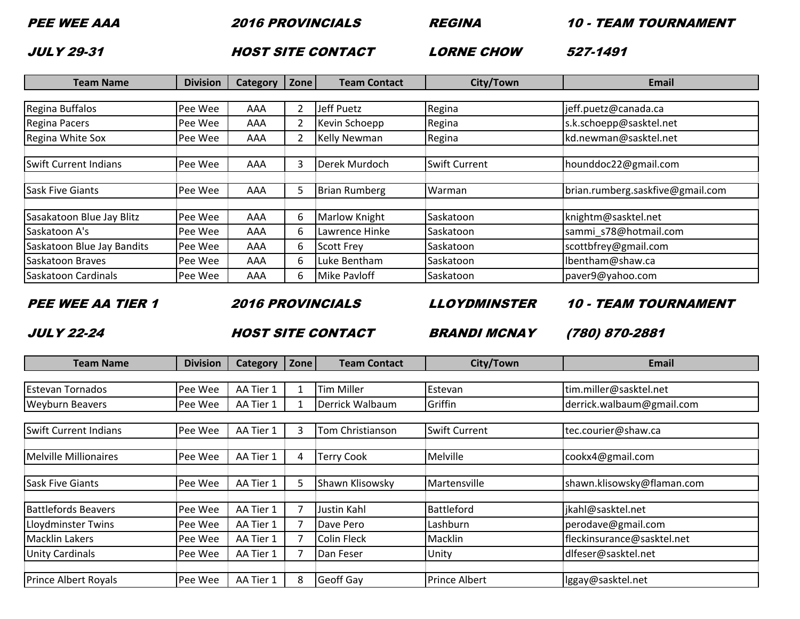PEE WEE AAA

2016 PROVINCIALS REGINA 10 - TEAM TOURNAMENT

JULY 29-31

1 **HOST SITE CONTACT** EXPERIENCHOW

**LORNE CHOW 527-1491** 

| <b>Team Name</b>             | <b>Division</b> | <b>Category</b> | Zone | <b>Team Contact</b>  | City/Town            | Email                            |
|------------------------------|-----------------|-----------------|------|----------------------|----------------------|----------------------------------|
|                              |                 |                 |      |                      |                      |                                  |
| Regina Buffalos              | Pee Wee         | AAA             | 2    | Jeff Puetz           | Regina               | jeff.puetz@canada.ca             |
| Regina Pacers                | Pee Wee         | AAA             | 2    | Kevin Schoepp        | Regina               | s.k.schoepp@sasktel.net          |
| Regina White Sox             | Pee Wee         | AAA             | 2    | <b>Kelly Newman</b>  | Regina               | kd.newman@sasktel.net            |
| <b>Swift Current Indians</b> | Pee Wee         | AAA             | 3    | Derek Murdoch        | <b>Swift Current</b> | hounddoc22@gmail.com             |
| <b>Sask Five Giants</b>      | Pee Wee         | AAA             | 5    | <b>Brian Rumberg</b> | Warman               | brian.rumberg.saskfive@gmail.com |
| Sasakatoon Blue Jay Blitz    | Pee Wee         | AAA             | 6    | Marlow Knight        | Saskatoon            | knightm@sasktel.net              |
| Saskatoon A's                | Pee Wee         | AAA             | 6    | Lawrence Hinke       | Saskatoon            | sammi_s78@hotmail.com            |
| Saskatoon Blue Jay Bandits   | Pee Wee         | AAA             | 6    | Scott Frey           | Saskatoon            | scottbfrey@gmail.com             |
| Saskatoon Braves             | Pee Wee         | AAA             | 6    | Luke Bentham         | Saskatoon            | Ibentham@shaw.ca                 |
| <b>Saskatoon Cardinals</b>   | Pee Wee         | AAA             | 6    | Mike Pavloff         | Saskatoon            | paver9@yahoo.com                 |

PEE WEE AA TIER 1

2016 PROVINCIALS

LLOYDMINSTER

10 - TEAM TOURNAMENT

JULY 22-24

Property and the state of the Second HOST SITE CONTACT REPORT BRANDI MCNAY

**BRANDI MCNAY (780) 870-2881** 

| <b>Team Name</b>             | <b>Division</b> | <b>Category</b> | Zone           | <b>Team Contact</b> | City/Town            | <b>Email</b>               |
|------------------------------|-----------------|-----------------|----------------|---------------------|----------------------|----------------------------|
|                              |                 |                 |                |                     |                      |                            |
| <b>Estevan Tornados</b>      | Pee Wee         | AA Tier 1       |                | <b>Tim Miller</b>   | Estevan              | tim.miller@sasktel.net     |
| <b>Weyburn Beavers</b>       | Pee Wee         | AA Tier 1       |                | Derrick Walbaum     | Griffin              | derrick.walbaum@gmail.com  |
|                              |                 |                 |                |                     |                      |                            |
| <b>Swift Current Indians</b> | Pee Wee         | AA Tier 1       | 3              | Tom Christianson    | <b>Swift Current</b> | tec.courier@shaw.ca        |
|                              |                 |                 |                |                     |                      |                            |
| Melville Millionaires        | Pee Wee         | AA Tier 1       | 4              | <b>Terry Cook</b>   | Melville             | cookx4@gmail.com           |
|                              |                 |                 |                |                     |                      |                            |
| <b>Sask Five Giants</b>      | Pee Wee         | AA Tier 1       | 5              | Shawn Klisowsky     | Martensville         | shawn.klisowsky@flaman.com |
|                              |                 |                 |                |                     |                      |                            |
| <b>Battlefords Beavers</b>   | Pee Wee         | AA Tier 1       | $\overline{7}$ | Justin Kahl         | <b>Battleford</b>    | jkahl@sasktel.net          |
| Lloydminster Twins           | Pee Wee         | AA Tier 1       | 7              | Dave Pero           | Lashburn             | perodave@gmail.com         |
| <b>Macklin Lakers</b>        | Pee Wee         | AA Tier 1       | 7              | <b>Colin Fleck</b>  | Macklin              | fleckinsurance@sasktel.net |
| <b>Unity Cardinals</b>       | Pee Wee         | AA Tier 1       |                | Dan Feser           | Unity                | dlfeser@sasktel.net        |
|                              |                 |                 |                |                     |                      |                            |
| <b>Prince Albert Royals</b>  | Pee Wee         | AA Tier 1       | 8              | <b>Geoff Gay</b>    | <b>Prince Albert</b> | lggay@sasktel.net          |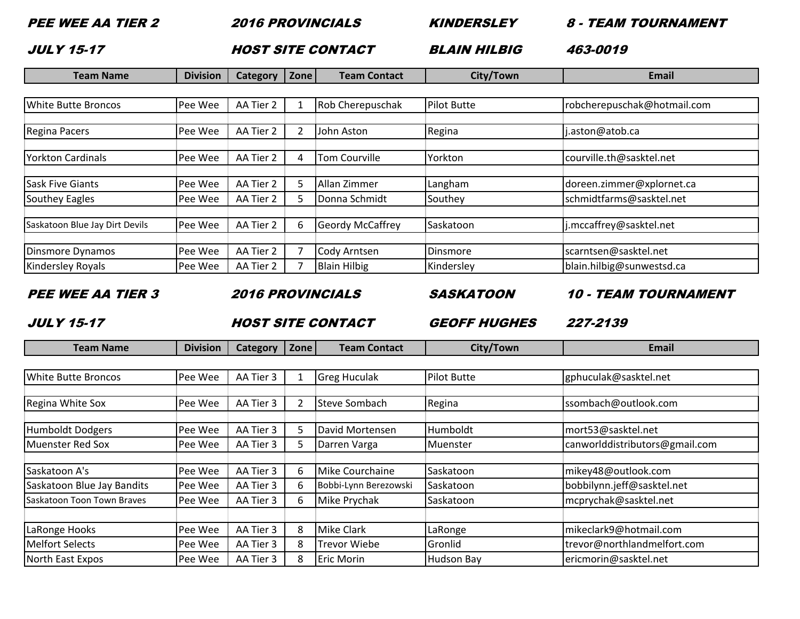PEE WEE AA TIER 2 2016 PROVINCIALSKINDERSLEY

8 - TEAM TOURNAMENT

JULY 15-17

The State of the State of the Second Hills and Second Hills and Second Hills and Hills and Hills and Hills and Hills and Hills and Hills and Hills and Hills and Hills and Hills and Hills and Hills and Hills and Hills and H

**BLAIN HILBIG** 463-0019

| <b>Team Name</b>                              | <b>Division</b> | <b>Category</b>         | Zone | <b>Team Contact</b>     | City/Town               | Email                              |
|-----------------------------------------------|-----------------|-------------------------|------|-------------------------|-------------------------|------------------------------------|
|                                               |                 |                         |      |                         |                         |                                    |
| <b>White Butte Broncos</b>                    | Pee Wee         | AA Tier 2               |      | Rob Cherepuschak        | <b>Pilot Butte</b>      | robcherepuschak@hotmail.com        |
| Regina Pacers                                 | Pee Wee         | AA Tier 2               | 2    | John Aston              | Regina                  | j.aston@atob.ca                    |
| <b>Yorkton Cardinals</b>                      | Pee Wee         | AA Tier 2               | 4    | Tom Courville           | Yorkton                 | courville.th@sasktel.net           |
| Sask Five Giants                              | Pee Wee         | AA Tier 2               | 5    | Allan Zimmer            | Langham                 | doreen.zimmer@xplornet.ca          |
| Southey Eagles                                | Pee Wee         | AA Tier 2               | 5    | Donna Schmidt           | Southey                 | schmidtfarms@sasktel.net           |
| Saskatoon Blue Jay Dirt Devils                | Pee Wee         | AA Tier 2               | 6    | <b>Geordy McCaffrey</b> | Saskatoon               | j.mccaffrey@sasktel.net            |
| Dinsmore Dynamos                              | Pee Wee         | AA Tier 2               |      | Cody Arntsen            | Dinsmore                | scarntsen@sasktel.net              |
| Kindersley Royals                             | Pee Wee         | AA Tier 2               |      | <b>Blain Hilbig</b>     | Kindersley              | blain.hilbig@sunwestsd.ca          |
| <b>PEE WEE AA TIER 3</b>                      |                 | <b>2016 PROVINCIALS</b> |      |                         | <i><b>SASKATOON</b></i> | <i><b>10 - TEAM TOURNAMENT</b></i> |
| <b>JULY 15-17</b><br><b>HOST SITE CONTACT</b> |                 |                         |      |                         | <b>GEOFF HUGHES</b>     | 227-2139                           |

| <b>Team Name</b>           | <b>Division</b> | <b>Category</b> | Zone | <b>Team Contact</b>   | City/Town         | Email                          |
|----------------------------|-----------------|-----------------|------|-----------------------|-------------------|--------------------------------|
|                            |                 |                 |      |                       |                   |                                |
| <b>White Butte Broncos</b> | Pee Wee         | AA Tier 3       |      | <b>Greg Huculak</b>   | Pilot Butte       | gphuculak@sasktel.net          |
|                            |                 |                 |      |                       |                   |                                |
| <b>Regina White Sox</b>    | Pee Wee         | AA Tier 3       | 2    | Steve Sombach         | Regina            | ssombach@outlook.com           |
| Humboldt Dodgers           | Pee Wee         | AA Tier 3       | 5    | David Mortensen       | Humboldt          | mort53@sasktel.net             |
| Muenster Red Sox           | Pee Wee         | AA Tier 3       | 5    | Darren Varga          | Muenster          | canworlddistributors@gmail.com |
|                            |                 |                 |      |                       |                   |                                |
| Saskatoon A's              | Pee Wee         | AA Tier 3       | 6    | Mike Courchaine       | Saskatoon         | mikey48@outlook.com            |
| Saskatoon Blue Jay Bandits | Pee Wee         | AA Tier 3       | 6    | Bobbi-Lynn Berezowski | Saskatoon         | bobbilynn.jeff@sasktel.net     |
| Saskatoon Toon Town Braves | Pee Wee         | AA Tier 3       | 6    | Mike Prychak          | <b>Saskatoon</b>  | mcprychak@sasktel.net          |
|                            |                 |                 |      |                       |                   |                                |
| LaRonge Hooks              | Pee Wee         | AA Tier 3       | 8    | <b>Mike Clark</b>     | LaRonge           | mikeclark9@hotmail.com         |
| <b>Melfort Selects</b>     | Pee Wee         | AA Tier 3       | 8    | <b>Trevor Wiebe</b>   | Gronlid           | trevor@northlandmelfort.com    |
| North East Expos           | Pee Wee         | AA Tier 3       | 8    | <b>Eric Morin</b>     | <b>Hudson Bay</b> | ericmorin@sasktel.net          |